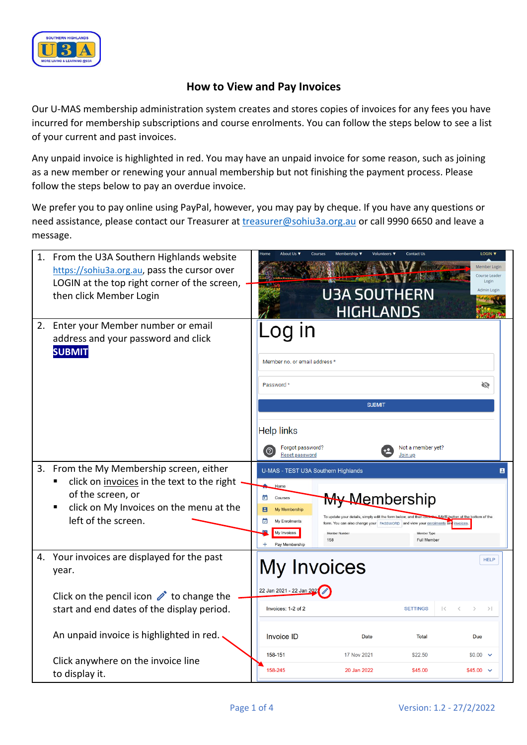

## **How to View and Pay Invoices**

Our U-MAS membership administration system creates and stores copies of invoices for any fees you have incurred for membership subscriptions and course enrolments. You can follow the steps below to see a list of your current and past invoices.

Any unpaid invoice is highlighted in red. You may have an unpaid invoice for some reason, such as joining as a new member or renewing your annual membership but not finishing the payment process. Please follow the steps below to pay an overdue invoice.

We prefer you to pay online using PayPal, however, you may pay by cheque. If you have any questions or need assistance, please contact our Treasurer at *treasurer@sohiu3a.org.au* or call 9990 6650 and leave a message.

| 1. | From the U3A Southern Highlands website<br>https://sohiu3a.org.au, pass the cursor over<br>LOGIN at the top right corner of the screen,<br>then click Member Login         | LOGIN V<br><b>Contact Us</b><br>Volunteers ▼<br>Member Login<br>Course Leader<br>Login<br>Admin Login<br><b>U3A SOUTHERN</b><br><b>HIGHLANDS</b>                                                                                                                                                                                                                                                             |  |
|----|----------------------------------------------------------------------------------------------------------------------------------------------------------------------------|--------------------------------------------------------------------------------------------------------------------------------------------------------------------------------------------------------------------------------------------------------------------------------------------------------------------------------------------------------------------------------------------------------------|--|
|    | 2. Enter your Member number or email<br>address and your password and click<br><b>SUBMIT</b>                                                                               | .og in<br>Member no. or email address *<br>Password *<br>Ø<br><b>SUBMIT</b><br><b>Help links</b><br>Forgot password?<br>Not a member yet?<br>(?)<br><b>Reset password</b><br>Join up                                                                                                                                                                                                                         |  |
| 3. | From the My Membership screen, either<br>click on invoices in the text to the right<br>of the screen, or<br>click on My Invoices on the menu at the<br>left of the screen. | U-MAS - TEST U3A Southern Highlands<br>в<br>Home<br><del>My Me</del> mbership<br>Ξ<br>Courses<br>My Membership<br>utton at the bottom of the<br>To update your details, simply edit the form below, and then ci<br>My Enrolments<br>form. You can also change your   PASSWORD   and view your enrolments and invoices.<br>My Invoices<br>Member Numbe<br>Member Type<br>158<br>Full Member<br>Pay Membership |  |
|    | 4. Your invoices are displayed for the past<br>year.                                                                                                                       | <b>HELP</b><br><b>My Invoices</b>                                                                                                                                                                                                                                                                                                                                                                            |  |
|    | Click on the pencil icon $\triangle$ to change the<br>start and end dates of the display period.                                                                           | 22 Jan 2021 - 22 Jan 202<br>Invoices: 1-2 of 2<br><b>SETTINGS</b><br>$\mathbf{1}$<br>$>$                                                                                                                                                                                                                                                                                                                     |  |
|    | An unpaid invoice is highlighted in red.                                                                                                                                   | Invoice ID<br>Date<br>Total<br>Due                                                                                                                                                                                                                                                                                                                                                                           |  |
|    | Click anywhere on the invoice line<br>to display it.                                                                                                                       | 158-151<br>17 Nov 2021<br>\$22.50<br>$$0.00$ $\sim$<br>158-245<br>20 Jan 2022<br>\$45.00<br>$$45.00$ $\sim$                                                                                                                                                                                                                                                                                                  |  |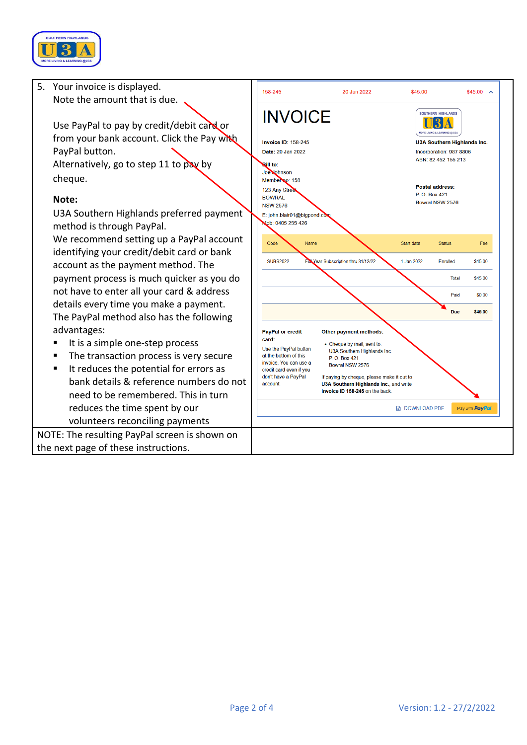

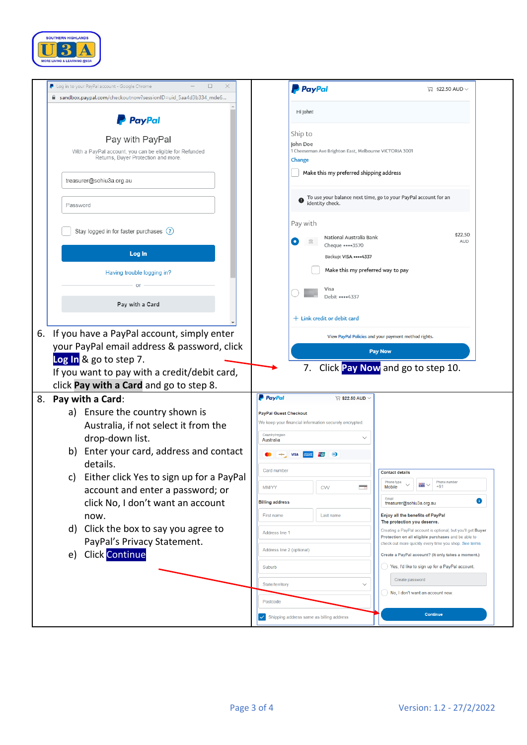

|                                                                                                                   | <b>P</b> PayPal<br>$\Box$ \$22.50 AUD $\vee$                                                                 |
|-------------------------------------------------------------------------------------------------------------------|--------------------------------------------------------------------------------------------------------------|
| a sandbox.paypal.com/checkoutnow?sessionID=uid_5aa4d3b334_mde6                                                    |                                                                                                              |
| <b>PayPal</b>                                                                                                     | Hi John!                                                                                                     |
| Pay with PayPal<br>With a PayPal account, you can be eligible for Refunded<br>Returns, Buyer Protection and more. | Ship to<br>John Doe<br>1 Cheeseman Ave Brighton East, Melbourne VICTORIA 3001<br>Change                      |
| treasurer@sohiu3a.org.au                                                                                          | Make this my preferred shipping address                                                                      |
| Password                                                                                                          | To use your balance next time, go to your PayPal account for an<br>identity check.                           |
| Stay logged in for faster purchases (?)                                                                           | Pay with<br>\$22.50<br>National Australia Bank<br><b>AUD</b>                                                 |
| Log In                                                                                                            | Cheque •••• 3570<br>Backup: VISA **** 4337                                                                   |
| Having trouble logging in?                                                                                        | Make this my preferred way to pay                                                                            |
| Pay with a Card                                                                                                   | Visa<br>Debit ••••4337                                                                                       |
|                                                                                                                   | $+$ Link credit or debit card                                                                                |
| If you have a PayPal account, simply enter<br>6.                                                                  | View PayPal Policies and your payment method rights.                                                         |
| your PayPal email address & password, click                                                                       |                                                                                                              |
| Log In & go to step 7.                                                                                            | <b>Pay Now</b>                                                                                               |
| If you want to pay with a credit/debit card,                                                                      | Click Pay Now and go to step 10.<br>7.                                                                       |
|                                                                                                                   |                                                                                                              |
|                                                                                                                   |                                                                                                              |
| click Pay with a Card and go to step 8.                                                                           | <b>P</b> PayPal<br>$\triangledown$ \$22.50 AUD $\vee$                                                        |
| Pay with a Card:<br>8.                                                                                            |                                                                                                              |
| a) Ensure the country shown is                                                                                    | <b>PayPal Guest Checkout</b><br>We keep your financial information securely encrypted.                       |
| Australia, if not select it from the                                                                              | Country/region                                                                                               |
| drop-down list.<br>Enter your card, address and contact<br>b)                                                     | Australia<br>$\omega$<br><b>VISA</b>                                                                         |
| details.                                                                                                          | Card number<br><b>Contact details</b>                                                                        |
| c) Either click Yes to sign up for a PayPal                                                                       | Phone number<br>Phone type<br>$\cdot$<br>$+61$<br>Mobile<br><b>MM/YY</b><br><b>CVV</b>                       |
| account and enter a password; or                                                                                  | Email<br>0<br><b>Billing address</b><br>treasurer@sohiu3a.org.au                                             |
| click No, I don't want an account<br>now.                                                                         | Enjoy all the benefits of PayPal<br>First name<br>Last name                                                  |
| Click the box to say you agree to<br>d)                                                                           | The protection you deserve.<br>Creating a PayPal account is optional, but you'll get Buyer<br>Address line 1 |
| PayPal's Privacy Statement.                                                                                       | Protection on all eligible purchases and be able to<br>check out more quickly every time you shop. See terms |
| <b>Click Continue</b><br>e)                                                                                       | Address line 2 (optional)<br>Create a PayPal account? (It only takes a moment.)                              |
|                                                                                                                   | Yes, I'd like to sign up for a PayPal account.<br>Suburb                                                     |
|                                                                                                                   | Create password<br>State/territory<br>$\checkmark$                                                           |
|                                                                                                                   | No, I don't want an account now.<br>Postcode                                                                 |